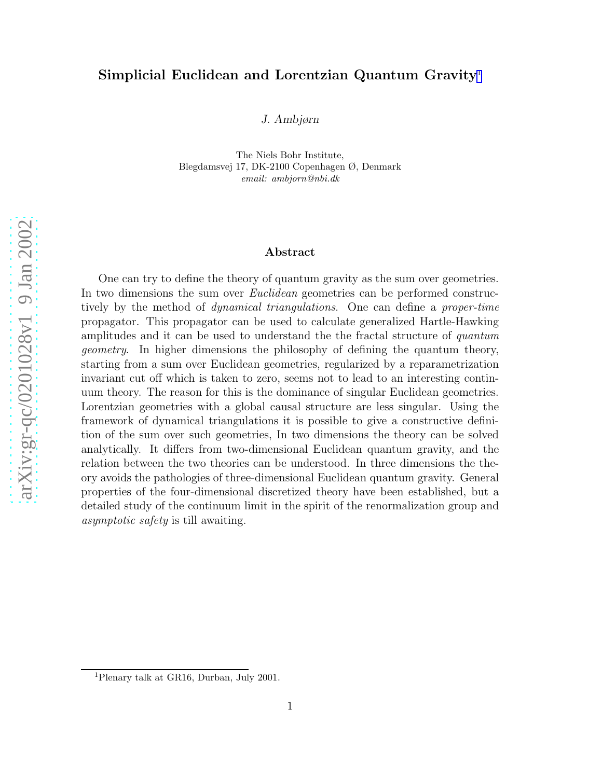### $\mathbf{S}$ implicial Euclidean and Lorentzian Quantum Gravity<sup>1</sup>

J. Ambjørn

The Niels Bohr Institute, Blegdamsvej 17, DK-2100 Copenhagen Ø, Denmark *email: ambjorn@nbi.dk*

#### Abstract

One can try to define the theory of quantum gravity as the sum over geometries. In two dimensions the sum over *Euclidean* geometries can be performed constructively by the method of dynamical triangulations. One can define a proper-time propagator. This propagator can be used to calculate generalized Hartle-Hawking amplitudes and it can be used to understand the the fractal structure of quantum *geometry*. In higher dimensions the philosophy of defining the quantum theory, starting from a sum over Euclidean geometries, regularized by a reparametrization invariant cut off which is taken to zero, seems not to lead to an interesting continuum theory. The reason for this is the dominance of singular Euclidean geometries. Lorentzian geometries with a global causal structure are less singular. Using the framework of dynamical triangulations it is possible to give a constructive definition of the sum over such geometries, In two dimensions the theory can be solved analytically. It differs from two-dimensional Euclidean quantum gravity, and the relation between the two theories can be understood. In three dimensions the theory avoids the pathologies of three-dimensional Euclidean quantum gravity. General properties of the four-dimensional discretized theory have been established, but a detailed study of the continuum limit in the spirit of the renormalization group and asymptotic safety is till awaiting.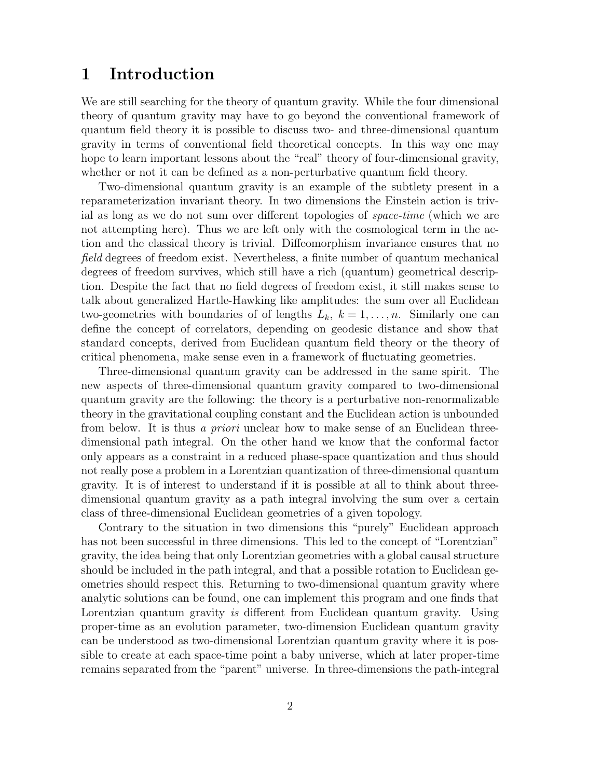### 1 Introduction

We are still searching for the theory of quantum gravity. While the four dimensional theory of quantum gravity may have to go beyond the conventional framework of quantum field theory it is possible to discuss two- and three-dimensional quantum gravity in terms of conventional field theoretical concepts. In this way one may hope to learn important lessons about the "real" theory of four-dimensional gravity, whether or not it can be defined as a non-perturbative quantum field theory.

Two-dimensional quantum gravity is an example of the subtlety present in a reparameterization invariant theory. In two dimensions the Einstein action is trivial as long as we do not sum over different topologies of space-time (which we are not attempting here). Thus we are left only with the cosmological term in the action and the classical theory is trivial. Diffeomorphism invariance ensures that no field degrees of freedom exist. Nevertheless, a finite number of quantum mechanical degrees of freedom survives, which still have a rich (quantum) geometrical description. Despite the fact that no field degrees of freedom exist, it still makes sense to talk about generalized Hartle-Hawking like amplitudes: the sum over all Euclidean two-geometries with boundaries of of lengths  $L_k$ ,  $k = 1, \ldots, n$ . Similarly one can define the concept of correlators, depending on geodesic distance and show that standard concepts, derived from Euclidean quantum field theory or the theory of critical phenomena, make sense even in a framework of fluctuating geometries.

Three-dimensional quantum gravity can be addressed in the same spirit. The new aspects of three-dimensional quantum gravity compared to two-dimensional quantum gravity are the following: the theory is a perturbative non-renormalizable theory in the gravitational coupling constant and the Euclidean action is unbounded from below. It is thus a priori unclear how to make sense of an Euclidean threedimensional path integral. On the other hand we know that the conformal factor only appears as a constraint in a reduced phase-space quantization and thus should not really pose a problem in a Lorentzian quantization of three-dimensional quantum gravity. It is of interest to understand if it is possible at all to think about threedimensional quantum gravity as a path integral involving the sum over a certain class of three-dimensional Euclidean geometries of a given topology.

Contrary to the situation in two dimensions this "purely" Euclidean approach has not been successful in three dimensions. This led to the concept of "Lorentzian" gravity, the idea being that only Lorentzian geometries with a global causal structure should be included in the path integral, and that a possible rotation to Euclidean geometries should respect this. Returning to two-dimensional quantum gravity where analytic solutions can be found, one can implement this program and one finds that Lorentzian quantum gravity is different from Euclidean quantum gravity. Using proper-time as an evolution parameter, two-dimension Euclidean quantum gravity can be understood as two-dimensional Lorentzian quantum gravity where it is possible to create at each space-time point a baby universe, which at later proper-time remains separated from the "parent" universe. In three-dimensions the path-integral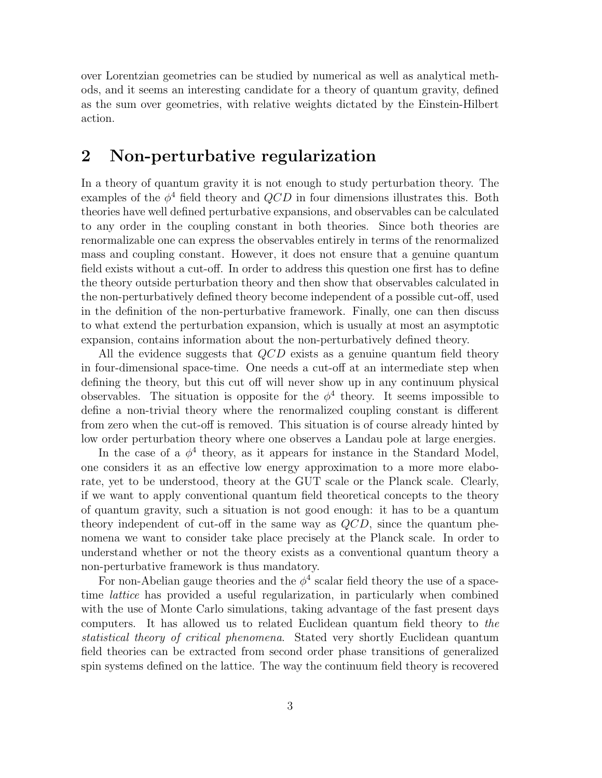<span id="page-2-0"></span>over Lorentzian geometries can be studied by numerical as well as analytical methods, and it seems an interesting candidate for a theory of quantum gravity, defined as the sum over geometries, with relative weights dictated by the Einstein-Hilbert action.

### 2 Non-perturbative regularization

In a theory of quantum gravity it is not enough to study perturbation theory. The examples of the  $\phi^4$  field theory and  $QCD$  in four dimensions illustrates this. Both theories have well defined perturbative expansions, and observables can be calculated to any order in the coupling constant in both theories. Since both theories are renormalizable one can express the observables entirely in terms of the renormalized mass and coupling constant. However, it does not ensure that a genuine quantum field exists without a cut-off. In order to address this question one first has to define the theory outside perturbation theory and then show that observables calculated in the non-perturbatively defined theory become independent of a possible cut-off, used in the definition of the non-perturbative framework. Finally, one can then discuss to what extend the perturbation expansion, which is usually at most an asymptotic expansion, contains information about the non-perturbatively defined theory.

All the evidence suggests that  $QCD$  exists as a genuine quantum field theory in four-dimensional space-time. One needs a cut-off at an intermediate step when defining the theory, but this cut off will never show up in any continuum physical observables. The situation is opposite for the  $\phi^4$  theory. It seems impossible to define a non-trivial theory where the renormalized coupling constant is different from zero when the cut-off is removed. This situation is of course already hinted by low order perturbation theory where one observes a Landau pole at large energies.

In the case of a  $\phi^4$  theory, as it appears for instance in the Standard Model, one considers it as an effective low energy approximation to a more more elaborate, yet to be understood, theory at the GUT scale or the Planck scale. Clearly, if we want to apply conventional quantum field theoretical concepts to the theory of quantum gravity, such a situation is not good enough: it has to be a quantum theory independent of cut-off in the same way as  $QCD$ , since the quantum phenomena we want to consider take place precisely at the Planck scale. In order to understand whether or not the theory exists as a conventional quantum theory a non-perturbative framework is thus mandatory.

For non-Abelian gauge theories and the  $\phi^4$  scalar field theory the use of a spacetime lattice has provided a useful regularization, in particularly when combined with the use of Monte Carlo simulations, taking advantage of the fast present days computers. It has allowed us to related Euclidean quantum field theory to the statistical theory of critical phenomena. Stated very shortly Euclidean quantum field theories can be extracted from second order phase transitions of generalized spin systems defined on the lattice. The way the continuum field theory is recovered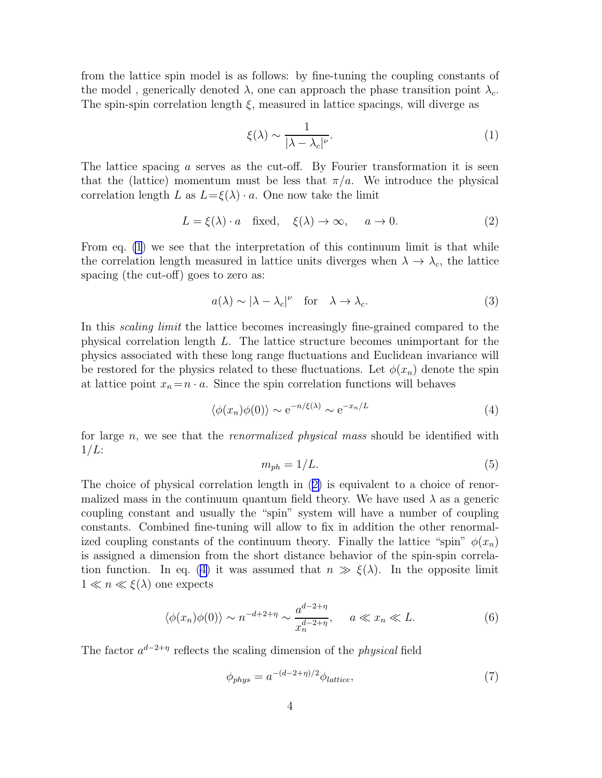from the lattice spin model is as follows: by fine-tuning the coupling constants of the model, generically denoted  $\lambda$ , one can approach the phase transition point  $\lambda_c$ . The spin-spin correlation length  $\xi$ , measured in lattice spacings, will diverge as

$$
\xi(\lambda) \sim \frac{1}{|\lambda - \lambda_c|^\nu}.\tag{1}
$$

The lattice spacing a serves as the cut-off. By Fourier transformation it is seen that the (lattice) momentum must be less that  $\pi/a$ . We introduce the physical correlation length L as  $L = \xi(\lambda) \cdot a$ . One now take the limit

$$
L = \xi(\lambda) \cdot a \quad \text{fixed}, \quad \xi(\lambda) \to \infty, \quad a \to 0. \tag{2}
$$

From eq. (1) we see that the interpretation of this continuum limit is that while the correlation length measured in lattice units diverges when  $\lambda \to \lambda_c$ , the lattice spacing (the cut-off) goes to zero as:

$$
a(\lambda) \sim |\lambda - \lambda_c|^\nu \quad \text{for} \quad \lambda \to \lambda_c. \tag{3}
$$

In this scaling limit the lattice becomes increasingly fine-grained compared to the physical correlation length L. The lattice structure becomes unimportant for the physics associated with these long range fluctuations and Euclidean invariance will be restored for the physics related to these fluctuations. Let  $\phi(x_n)$  denote the spin at lattice point  $x_n = n \cdot a$ . Since the spin correlation functions will behaves

$$
\langle \phi(x_n)\phi(0)\rangle \sim \mathrm{e}^{-n/\xi(\lambda)} \sim \mathrm{e}^{-x_n/L} \tag{4}
$$

for large n, we see that the *renormalized physical mass* should be identified with  $1/L$ :

$$
m_{ph} = 1/L. \tag{5}
$$

The choice of physical correlation length in (2) is equivalent to a choice of renormalized mass in the continuum quantum field theory. We have used  $\lambda$  as a generic coupling constant and usually the "spin" system will have a number of coupling constants. Combined fine-tuning will allow to fix in addition the other renormalized coupling constants of the continuum theory. Finally the lattice "spin"  $\phi(x_n)$ is assigned a dimension from the short distance behavior of the spin-spin correlation function. In eq. (4) it was assumed that  $n \gg \xi(\lambda)$ . In the opposite limit  $1 \ll n \ll \xi(\lambda)$  one expects

$$
\langle \phi(x_n)\phi(0)\rangle \sim n^{-d+2+\eta} \sim \frac{a^{d-2+\eta}}{x_n^{d-2+\eta}}, \quad a \ll x_n \ll L. \tag{6}
$$

The factor  $a^{d-2+\eta}$  reflects the scaling dimension of the *physical* field

$$
\phi_{phys} = a^{-(d-2+\eta)/2} \phi_{lattice},\tag{7}
$$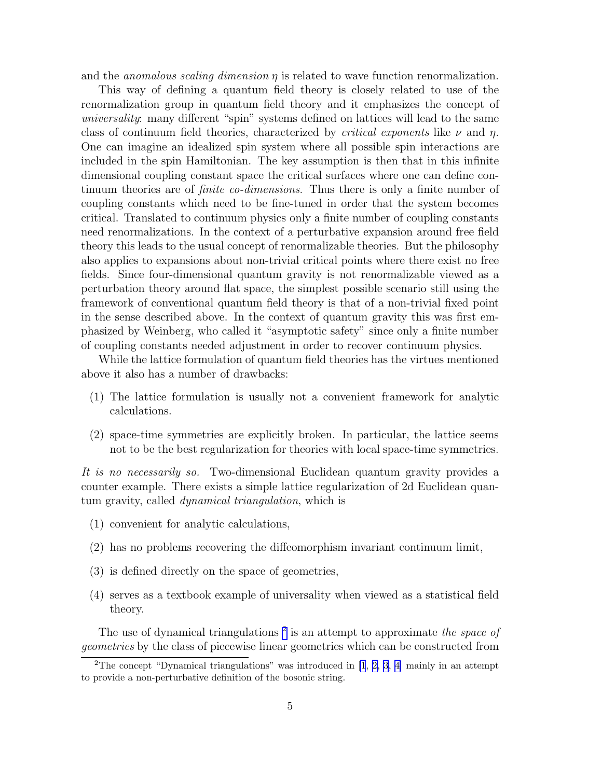and the *anomalous scaling dimension*  $\eta$  is related to wave function renormalization.

This way of defining a quantum field theory is closely related to use of the renormalization group in quantum field theory and it emphasizes the concept of universality: many different "spin" systems defined on lattices will lead to the same class of continuum field theories, characterized by *critical exponents* like  $\nu$  and  $\eta$ . One can imagine an idealized spin system where all possible spin interactions are included in the spin Hamiltonian. The key assumption is then that in this infinite dimensional coupling constant space the critical surfaces where one can define continuum theories are of *finite co-dimensions*. Thus there is only a finite number of coupling constants which need to be fine-tuned in order that the system becomes critical. Translated to continuum physics only a finite number of coupling constants need renormalizations. In the context of a perturbative expansion around free field theory this leads to the usual concept of renormalizable theories. But the philosophy also applies to expansions about non-trivial critical points where there exist no free fields. Since four-dimensional quantum gravity is not renormalizable viewed as a perturbation theory around flat space, the simplest possible scenario still using the framework of conventional quantum field theory is that of a non-trivial fixed point in the sense described above. In the context of quantum gravity this was first emphasized by Weinberg, who called it "asymptotic safety" since only a finite number of coupling constants needed adjustment in order to recover continuum physics.

While the lattice formulation of quantum field theories has the virtues mentioned above it also has a number of drawbacks:

- (1) The lattice formulation is usually not a convenient framework for analytic calculations.
- (2) space-time symmetries are explicitly broken. In particular, the lattice seems not to be the best regularization for theories with local space-time symmetries.

It is no necessarily so. Two-dimensional Euclidean quantum gravity provides a counter example. There exists a simple lattice regularization of 2d Euclidean quantum gravity, called dynamical triangulation, which is

- (1) convenient for analytic calculations,
- (2) has no problems recovering the diffeomorphism invariant continuum limit,
- (3) is defined directly on the space of geometries,
- (4) serves as a textbook example of universality when viewed as a statistical field theory.

The use of dynamical triangulations<sup>2</sup> is an attempt to approximate the space of geometries by the class of piecewise linear geometries which can be constructed from

<sup>&</sup>lt;sup>2</sup>The concept "Dynamical triangulations" was introduced in  $[1, 2, 3, 4]$  $[1, 2, 3, 4]$  $[1, 2, 3, 4]$  $[1, 2, 3, 4]$  mainly in an attempt to provide a non-perturbative definition of the bosonic string.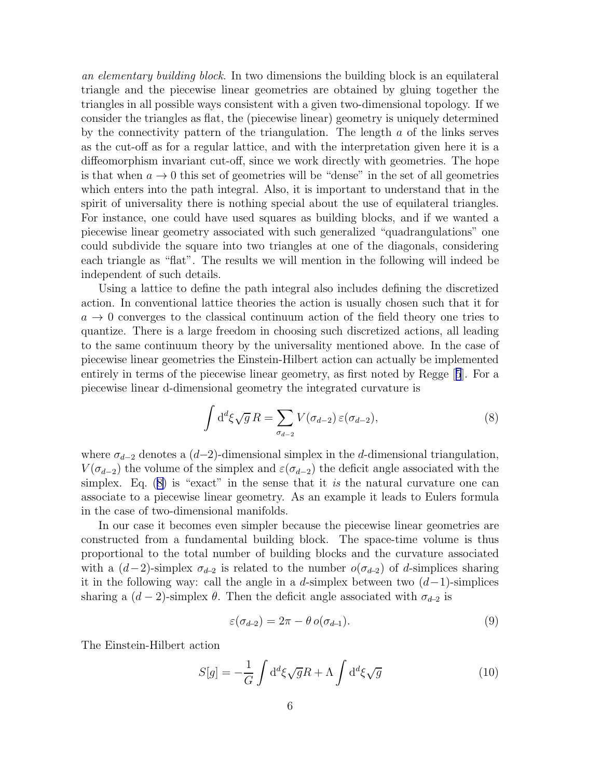an elementary building block. In two dimensions the building block is an equilateral triangle and the piecewise linear geometries are obtained by gluing together the triangles in all possible ways consistent with a given two-dimensional topology. If we consider the triangles as flat, the (piecewise linear) geometry is uniquely determined by the connectivity pattern of the triangulation. The length a of the links serves as the cut-off as for a regular lattice, and with the interpretation given here it is a diffeomorphism invariant cut-off, since we work directly with geometries. The hope is that when  $a \to 0$  this set of geometries will be "dense" in the set of all geometries which enters into the path integral. Also, it is important to understand that in the spirit of universality there is nothing special about the use of equilateral triangles. For instance, one could have used squares as building blocks, and if we wanted a piecewise linear geometry associated with such generalized "quadrangulations" one could subdivide the square into two triangles at one of the diagonals, considering each triangle as "flat". The results we will mention in the following will indeed be independent of such details.

Using a lattice to define the path integral also includes defining the discretized action. In conventional lattice theories the action is usually chosen such that it for  $a \rightarrow 0$  converges to the classical continuum action of the field theory one tries to quantize. There is a large freedom in choosing such discretized actions, all leading to the same continuum theory by the universality mentioned above. In the case of piecewise linear geometries the Einstein-Hilbert action can actually be implemented entirely in terms of the piecewise linear geometry, as first noted by Regge[[5](#page-19-0)]. For a piecewise linear d-dimensional geometry the integrated curvature is

$$
\int d^d \xi \sqrt{g} R = \sum_{\sigma_{d-2}} V(\sigma_{d-2}) \varepsilon(\sigma_{d-2}), \tag{8}
$$

where  $\sigma_{d-2}$  denotes a (d–2)-dimensional simplex in the d-dimensional triangulation,  $V(\sigma_{d-2})$  the volume of the simplex and  $\varepsilon(\sigma_{d-2})$  the deficit angle associated with the simplex. Eq.  $(8)$  is "exact" in the sense that it is the natural curvature one can associate to a piecewise linear geometry. As an example it leads to Eulers formula in the case of two-dimensional manifolds.

In our case it becomes even simpler because the piecewise linear geometries are constructed from a fundamental building block. The space-time volume is thus proportional to the total number of building blocks and the curvature associated with a  $(d-2)$ -simplex  $\sigma_{d-2}$  is related to the number  $o(\sigma_{d-2})$  of d-simplices sharing it in the following way: call the angle in a d-simplex between two  $(d-1)$ -simplices sharing a  $(d-2)$ -simplex  $\theta$ . Then the deficit angle associated with  $\sigma_{d-2}$  is

$$
\varepsilon(\sigma_{d-2}) = 2\pi - \theta \, o(\sigma_{d-1}).\tag{9}
$$

The Einstein-Hilbert action

$$
S[g] = -\frac{1}{G} \int d^d \xi \sqrt{g} R + \Lambda \int d^d \xi \sqrt{g}
$$
 (10)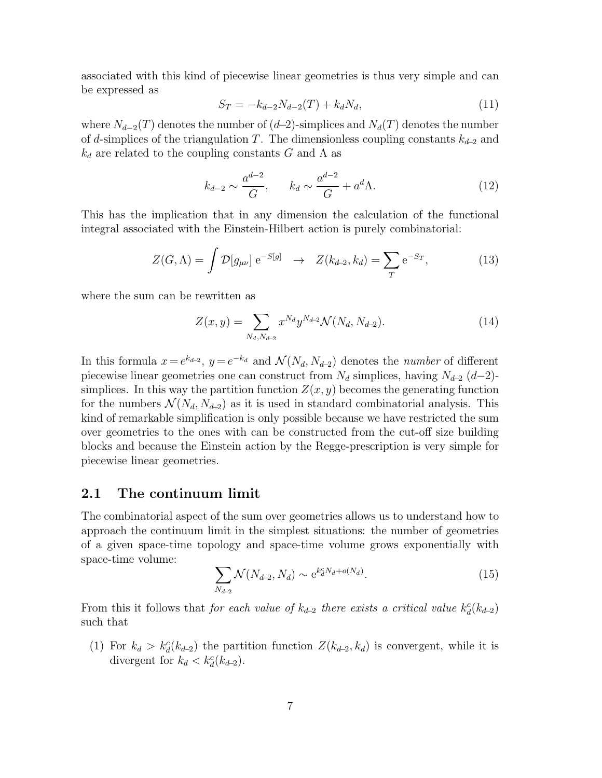associated with this kind of piecewise linear geometries is thus very simple and can be expressed as

$$
S_T = -k_{d-2}N_{d-2}(T) + k_dN_d, \tag{11}
$$

where  $N_{d-2}(T)$  denotes the number of  $(d-2)$ -simplices and  $N_d(T)$  denotes the number of d-simplices of the triangulation T. The dimensionless coupling constants  $k_{d-2}$  and  $k_d$  are related to the coupling constants G and  $\Lambda$  as

$$
k_{d-2} \sim \frac{a^{d-2}}{G}, \qquad k_d \sim \frac{a^{d-2}}{G} + a^d \Lambda. \tag{12}
$$

This has the implication that in any dimension the calculation of the functional integral associated with the Einstein-Hilbert action is purely combinatorial:

$$
Z(G,\Lambda) = \int \mathcal{D}[g_{\mu\nu}] \, \mathrm{e}^{-S[g]} \quad \to \quad Z(k_{d-2},k_d) = \sum_T \mathrm{e}^{-S_T},\tag{13}
$$

where the sum can be rewritten as

$$
Z(x,y) = \sum_{N_d,N_{d-2}} x^{N_d} y^{N_{d-2}} \mathcal{N}(N_d, N_{d-2}).
$$
\n(14)

In this formula  $x = e^{k_{d-2}}$ ,  $y = e^{-k_d}$  and  $\mathcal{N}(N_d, N_{d-2})$  denotes the *number* of different piecewise linear geometries one can construct from  $N_d$  simplices, having  $N_{d-2}$  (d–2)simplices. In this way the partition function  $Z(x, y)$  becomes the generating function for the numbers  $\mathcal{N}(N_d, N_{d-2})$  as it is used in standard combinatorial analysis. This kind of remarkable simplification is only possible because we have restricted the sum over geometries to the ones with can be constructed from the cut-off size building blocks and because the Einstein action by the Regge-prescription is very simple for piecewise linear geometries.

### 2.1 The continuum limit

The combinatorial aspect of the sum over geometries allows us to understand how to approach the continuum limit in the simplest situations: the number of geometries of a given space-time topology and space-time volume grows exponentially with space-time volume:

$$
\sum_{N_{d-2}} \mathcal{N}(N_{d-2}, N_d) \sim e^{k_d^c N_d + o(N_d)}.
$$
\n(15)

From this it follows that *for each value of*  $k_{d-2}$  there exists a critical value  $k_d^c(k_{d-2})$ such that

(1) For  $k_d > k_d^c(k_{d-2})$  the partition function  $Z(k_{d-2}, k_d)$  is convergent, while it is divergent for  $k_d < k_d^c(k_{d-2})$ .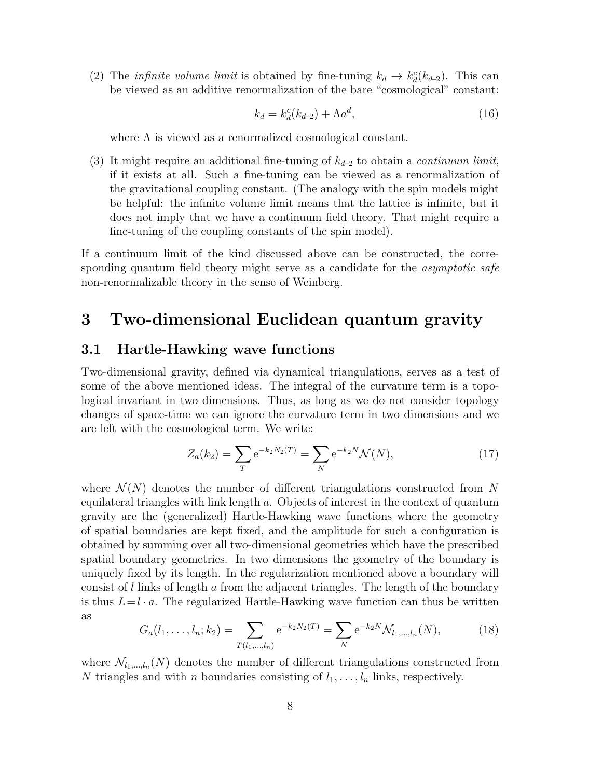(2) The *infinite volume limit* is obtained by fine-tuning  $k_d \rightarrow k_d^c(k_{d-2})$ . This can be viewed as an additive renormalization of the bare "cosmological" constant:

$$
k_d = k_d^c(k_{d-2}) + \Lambda a^d,\tag{16}
$$

where  $\Lambda$  is viewed as a renormalized cosmological constant.

(3) It might require an additional fine-tuning of  $k_{d-2}$  to obtain a *continuum limit*, if it exists at all. Such a fine-tuning can be viewed as a renormalization of the gravitational coupling constant. (The analogy with the spin models might be helpful: the infinite volume limit means that the lattice is infinite, but it does not imply that we have a continuum field theory. That might require a fine-tuning of the coupling constants of the spin model).

If a continuum limit of the kind discussed above can be constructed, the corresponding quantum field theory might serve as a candidate for the *asymptotic safe* non-renormalizable theory in the sense of Weinberg.

# 3 Two-dimensional Euclidean quantum gravity

#### 3.1 Hartle-Hawking wave functions

Two-dimensional gravity, defined via dynamical triangulations, serves as a test of some of the above mentioned ideas. The integral of the curvature term is a topological invariant in two dimensions. Thus, as long as we do not consider topology changes of space-time we can ignore the curvature term in two dimensions and we are left with the cosmological term. We write:

$$
Z_a(k_2) = \sum_T e^{-k_2 N_2(T)} = \sum_N e^{-k_2 N} \mathcal{N}(N), \qquad (17)
$$

where  $\mathcal{N}(N)$  denotes the number of different triangulations constructed from N equilateral triangles with link length a. Objects of interest in the context of quantum gravity are the (generalized) Hartle-Hawking wave functions where the geometry of spatial boundaries are kept fixed, and the amplitude for such a configuration is obtained by summing over all two-dimensional geometries which have the prescribed spatial boundary geometries. In two dimensions the geometry of the boundary is uniquely fixed by its length. In the regularization mentioned above a boundary will consist of l links of length a from the adjacent triangles. The length of the boundary is thus  $L=l \cdot a$ . The regularized Hartle-Hawking wave function can thus be written as

$$
G_a(l_1,\ldots,l_n;k_2) = \sum_{T(l_1,\ldots,l_n)} e^{-k_2 N_2(T)} = \sum_N e^{-k_2 N} \mathcal{N}_{l_1,\ldots,l_n}(N),\tag{18}
$$

where  $\mathcal{N}_{l_1,\dots,l_n}(N)$  denotes the number of different triangulations constructed from N triangles and with n boundaries consisting of  $l_1, \ldots, l_n$  links, respectively.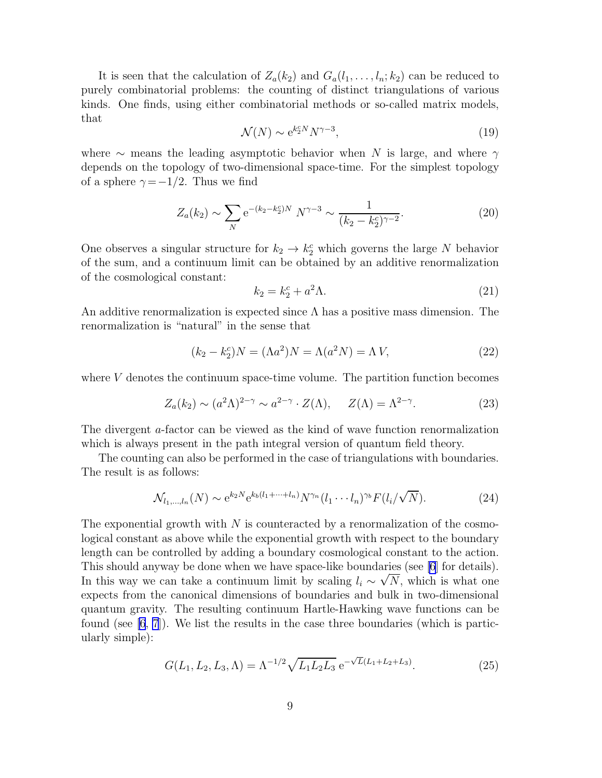It is seen that the calculation of  $Z_a(k_2)$  and  $G_a(l_1,\ldots,l_n;k_2)$  can be reduced to purely combinatorial problems: the counting of distinct triangulations of various kinds. One finds, using either combinatorial methods or so-called matrix models, that

$$
\mathcal{N}(N) \sim \mathrm{e}^{k_2^c N} N^{\gamma - 3},\tag{19}
$$

where ∼ means the leading asymptotic behavior when N is large, and where  $\gamma$ depends on the topology of two-dimensional space-time. For the simplest topology of a sphere  $\gamma = -1/2$ . Thus we find

$$
Z_a(k_2) \sim \sum_N e^{-(k_2 - k_2^c)N} N^{\gamma - 3} \sim \frac{1}{(k_2 - k_2^c)^{\gamma - 2}}.
$$
 (20)

One observes a singular structure for  $k_2 \to k_2^c$  which governs the large N behavior of the sum, and a continuum limit can be obtained by an additive renormalization of the cosmological constant:

$$
k_2 = k_2^c + a^2 \Lambda. \tag{21}
$$

An additive renormalization is expected since  $\Lambda$  has a positive mass dimension. The renormalization is "natural" in the sense that

$$
(k_2 - k_2^c)N = (\Lambda a^2)N = \Lambda(a^2N) = \Lambda V,\tag{22}
$$

where  $V$  denotes the continuum space-time volume. The partition function becomes

$$
Z_a(k_2) \sim (a^2 \Lambda)^{2-\gamma} \sim a^{2-\gamma} \cdot Z(\Lambda), \quad Z(\Lambda) = \Lambda^{2-\gamma}.
$$
 (23)

The divergent a-factor can be viewed as the kind of wave function renormalization which is always present in the path integral version of quantum field theory.

The counting can also be performed in the case of triangulations with boundaries. The result is as follows:

$$
\mathcal{N}_{l_1,\dots,l_n}(N) \sim e^{k_2 N} e^{k_b(l_1 + \dots + l_n)} N^{\gamma_n} (l_1 \cdots l_n)^{\gamma_b} F(l_i/\sqrt{N}).
$$
\n(24)

The exponential growth with  $N$  is counteracted by a renormalization of the cosmological constant as above while the exponential growth with respect to the boundary length can be controlled by adding a boundary cosmological constant to the action. This should anyway be done when we have space-like boundaries (see [\[6](#page-19-0)] for details). In this way we can take a continuum limit by scaling  $l_i \sim \sqrt{N}$ , which is what one expects from the canonical dimensions of boundaries and bulk in two-dimensional quantum gravity. The resulting continuum Hartle-Hawking wave functions can be found (see  $[6, 7]$  $[6, 7]$  $[6, 7]$ ). We list the results in the case three boundaries (which is particularly simple):

$$
G(L_1, L_2, L_3, \Lambda) = \Lambda^{-1/2} \sqrt{L_1 L_2 L_3} e^{-\sqrt{L}(L_1 + L_2 + L_3)}.
$$
 (25)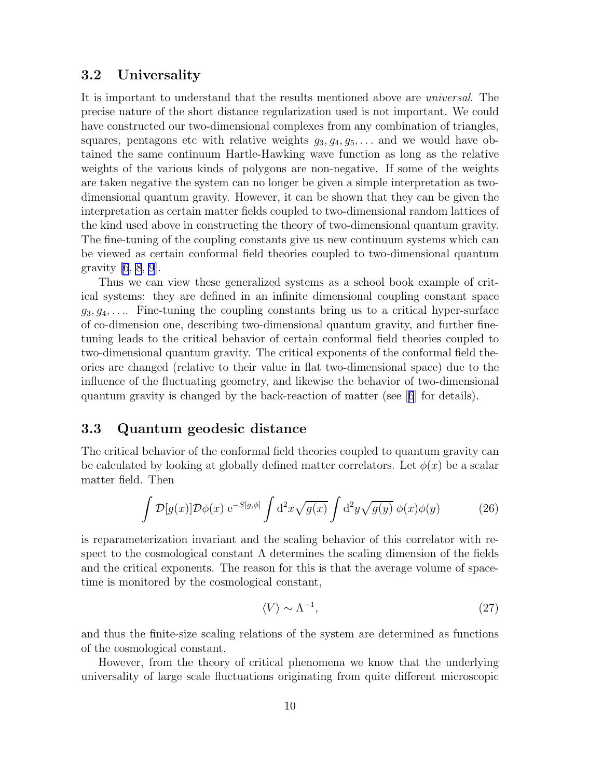### 3.2 Universality

It is important to understand that the results mentioned above are universal. The precise nature of the short distance regularization used is not important. We could have constructed our two-dimensional complexes from any combination of triangles, squares, pentagons etc with relative weights  $g_3, g_4, g_5, \ldots$  and we would have obtained the same continuum Hartle-Hawking wave function as long as the relative weights of the various kinds of polygons are non-negative. If some of the weights are taken negative the system can no longer be given a simple interpretation as twodimensional quantum gravity. However, it can be shown that they can be given the interpretation as certain matter fields coupled to two-dimensional random lattices of the kind used above in constructing the theory of two-dimensional quantum gravity. The fine-tuning of the coupling constants give us new continuum systems which can be viewed as certain conformal field theories coupled to two-dimensional quantum gravity  $[6, 8, 9]$  $[6, 8, 9]$  $[6, 8, 9]$  $[6, 8, 9]$  $[6, 8, 9]$ .

Thus we can view these generalized systems as a school book example of critical systems: they are defined in an infinite dimensional coupling constant space  $g_3, g_4, \ldots$  Fine-tuning the coupling constants bring us to a critical hyper-surface of co-dimension one, describing two-dimensional quantum gravity, and further finetuning leads to the critical behavior of certain conformal field theories coupled to two-dimensional quantum gravity. The critical exponents of the conformal field theories are changed (relative to their value in flat two-dimensional space) due to the influence of the fluctuating geometry, and likewise the behavior of two-dimensional quantum gravity is changed by the back-reaction of matter (see[[6](#page-19-0)] for details).

### 3.3 Quantum geodesic distance

The critical behavior of the conformal field theories coupled to quantum gravity can be calculated by looking at globally defined matter correlators. Let  $\phi(x)$  be a scalar matter field. Then

$$
\int \mathcal{D}[g(x)] \mathcal{D}\phi(x) e^{-S[g,\phi]} \int d^2x \sqrt{g(x)} \int d^2y \sqrt{g(y)} \phi(x)\phi(y) \tag{26}
$$

is reparameterization invariant and the scaling behavior of this correlator with respect to the cosmological constant  $\Lambda$  determines the scaling dimension of the fields and the critical exponents. The reason for this is that the average volume of spacetime is monitored by the cosmological constant,

$$
\langle V \rangle \sim \Lambda^{-1},\tag{27}
$$

and thus the finite-size scaling relations of the system are determined as functions of the cosmological constant.

However, from the theory of critical phenomena we know that the underlying universality of large scale fluctuations originating from quite different microscopic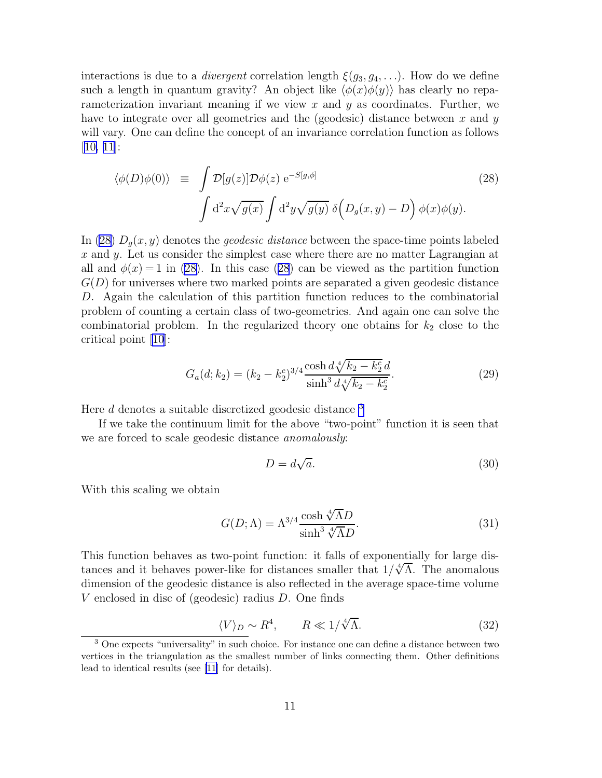<span id="page-10-0"></span>interactions is due to a *divergent* correlation length  $\xi(g_3, g_4, \ldots)$ . How do we define such a length in quantum gravity? An object like  $\langle \phi(x)\phi(y)\rangle$  has clearly no reparameterization invariant meaning if we view  $x$  and  $y$  as coordinates. Further, we have to integrate over all geometries and the (geodesic) distance between  $x$  and  $y$ will vary. One can define the concept of an invariance correlation function as follows [[10, 11](#page-20-0)]:

$$
\langle \phi(D)\phi(0) \rangle \equiv \int \mathcal{D}[g(z)] \mathcal{D}\phi(z) e^{-S[g,\phi]} \qquad (28)
$$

$$
\int d^2x \sqrt{g(x)} \int d^2y \sqrt{g(y)} \delta \left(D_g(x,y) - D\right) \phi(x)\phi(y).
$$

In (28)  $D_q(x, y)$  denotes the *geodesic distance* between the space-time points labeled x and y. Let us consider the simplest case where there are no matter Lagrangian at all and  $\phi(x) = 1$  in (28). In this case (28) can be viewed as the partition function  $G(D)$  for universes where two marked points are separated a given geodesic distance D. Again the calculation of this partition function reduces to the combinatorial problem of counting a certain class of two-geometries. And again one can solve the combinatorial problem. In the regularized theory one obtains for  $k_2$  close to the critical point [\[10](#page-20-0)]:

$$
G_a(d; k_2) = (k_2 - k_2^c)^{3/4} \frac{\cosh d \sqrt[4]{k_2 - k_2^c}}{\sinh^3 d \sqrt[4]{k_2 - k_2^c}}.
$$
\n(29)

Here  $d$  denotes a suitable discretized geodesic distance  $3$ 

If we take the continuum limit for the above "two-point" function it is seen that we are forced to scale geodesic distance anomalously:

$$
D = d\sqrt{a}.\tag{30}
$$

With this scaling we obtain

$$
G(D; \Lambda) = \Lambda^{3/4} \frac{\cosh \sqrt[4]{\Lambda}D}{\sinh^3 \sqrt[4]{\Lambda}D}.
$$
 (31)

This function behaves as two-point function: it falls of exponentially for large distances and it behaves power-like for distances smaller that  $1/\sqrt[4]{\Lambda}$ . The anomalous dimension of the geodesic distance is also reflected in the average space-time volume V enclosed in disc of (geodesic) radius D. One finds

$$
\langle V \rangle_D \sim R^4, \qquad R \ll 1/\sqrt[4]{\Lambda}.
$$
 (32)

<sup>3</sup> One expects "universality" in such choice. For instance one can define a distance between two vertices in the triangulation as the smallest number of links connecting them. Other definitions lead to identical results (see [\[11](#page-20-0)] for details).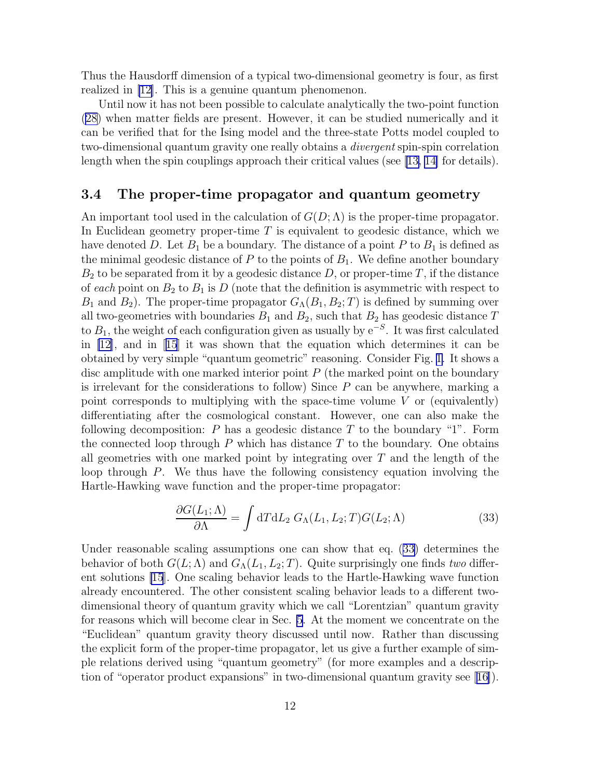<span id="page-11-0"></span>Thus the Hausdorff dimension of a typical two-dimensional geometry is four, as first realized in [\[12](#page-20-0)]. This is a genuine quantum phenomenon.

Until now it has not been possible to calculate analytically the two-point function [\(28\)](#page-10-0) when matter fields are present. However, it can be studied numerically and it can be verified that for the Ising model and the three-state Potts model coupled to two-dimensional quantum gravity one really obtains a *divergent* spin-spin correlation length when the spin couplings approach their critical values (see [\[13, 14\]](#page-20-0) for details).

### 3.4 The proper-time propagator and quantum geometry

An important tool used in the calculation of  $G(D; \Lambda)$  is the proper-time propagator. In Euclidean geometry proper-time  $T$  is equivalent to geodesic distance, which we have denoted D. Let  $B_1$  be a boundary. The distance of a point P to  $B_1$  is defined as the minimal geodesic distance of  $P$  to the points of  $B_1$ . We define another boundary  $B_2$  to be separated from it by a geodesic distance D, or proper-time T, if the distance of each point on  $B_2$  to  $B_1$  is D (note that the definition is asymmetric with respect to  $B_1$  and  $B_2$ ). The proper-time propagator  $G_{\Lambda}(B_1, B_2; T)$  is defined by summing over all two-geometries with boundaries  $B_1$  and  $B_2$ , such that  $B_2$  has geodesic distance T to  $B_1$ , the weight of each configuration given as usually by  $e^{-S}$ . It was first calculated in [\[12\]](#page-20-0), and in[[15](#page-20-0)] it was shown that the equation which determines it can be obtained by very simple "quantum geometric" reasoning. Consider Fig. [1.](#page-12-0) It shows a disc amplitude with one marked interior point  $P$  (the marked point on the boundary is irrelevant for the considerations to follow) Since  $P$  can be anywhere, marking a point corresponds to multiplying with the space-time volume  $V$  or (equivalently) differentiating after the cosmological constant. However, one can also make the following decomposition: P has a geodesic distance T to the boundary "1". Form the connected loop through  $P$  which has distance  $T$  to the boundary. One obtains all geometries with one marked point by integrating over  $T$  and the length of the loop through P. We thus have the following consistency equation involving the Hartle-Hawking wave function and the proper-time propagator:

$$
\frac{\partial G(L_1; \Lambda)}{\partial \Lambda} = \int dT dL_2 \ G_{\Lambda}(L_1, L_2; T) G(L_2; \Lambda)
$$
\n(33)

Under reasonable scaling assumptions one can show that eq. (33) determines the behavior of both  $G(L; \Lambda)$  and  $G_{\Lambda}(L_1, L_2; T)$ . Quite surprisingly one finds two different solutions [\[15](#page-20-0)]. One scaling behavior leads to the Hartle-Hawking wave function already encountered. The other consistent scaling behavior leads to a different twodimensional theory of quantum gravity which we call "Lorentzian" quantum gravity for reasons which will become clear in Sec. [5.](#page-15-0) At the moment we concentrate on the "Euclidean" quantum gravity theory discussed until now. Rather than discussing the explicit form of the proper-time propagator, let us give a further example of simple relations derived using "quantum geometry" (for more examples and a description of "operator product expansions" in two-dimensional quantum gravity see[[16\]](#page-20-0)).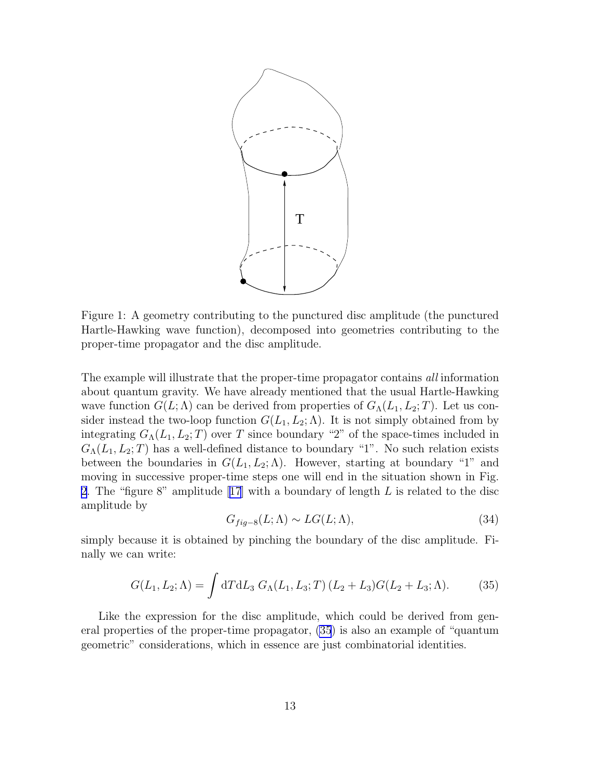<span id="page-12-0"></span>

Figure 1: A geometry contributing to the punctured disc amplitude (the punctured Hartle-Hawking wave function), decomposed into geometries contributing to the proper-time propagator and the disc amplitude.

The example will illustrate that the proper-time propagator contains all information about quantum gravity. We have already mentioned that the usual Hartle-Hawking wave function  $G(L; \Lambda)$  can be derived from properties of  $G_{\Lambda}(L_1, L_2; T)$ . Let us consider instead the two-loop function  $G(L_1, L_2; \Lambda)$ . It is not simply obtained from by integrating  $G_{\Lambda}(L_1, L_2; T)$  over T since boundary "2" of the space-times included in  $G_{\Lambda}(L_1, L_2; T)$  has a well-defined distance to boundary "1". No such relation exists between the boundaries in  $G(L_1, L_2; \Lambda)$ . However, starting at boundary "1" and moving in successive proper-time steps one will end in the situation shown in Fig. [2](#page-13-0). The "figure 8" amplitude[[17](#page-20-0)] with a boundary of length L is related to the disc amplitude by

$$
G_{fig-8}(L; \Lambda) \sim LG(L; \Lambda), \tag{34}
$$

simply because it is obtained by pinching the boundary of the disc amplitude. Finally we can write:

$$
G(L_1, L_2; \Lambda) = \int dT dL_3 \ G_{\Lambda}(L_1, L_3; T) (L_2 + L_3) G(L_2 + L_3; \Lambda).
$$
 (35)

Like the expression for the disc amplitude, which could be derived from general properties of the proper-time propagator, (35) is also an example of "quantum geometric" considerations, which in essence are just combinatorial identities.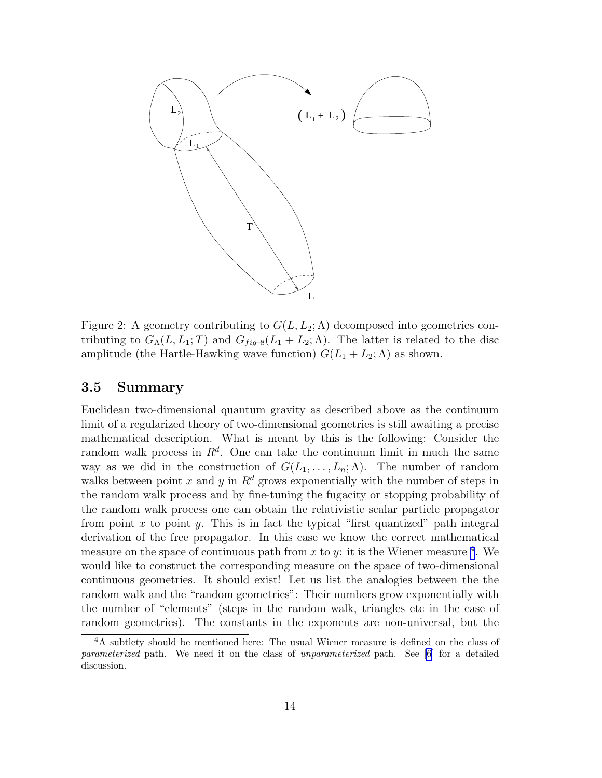<span id="page-13-0"></span>

Figure 2: A geometry contributing to  $G(L, L_2; \Lambda)$  decomposed into geometries contributing to  $G_{\Lambda}(L, L_1; T)$  and  $G_{f i g-8}(L_1 + L_2; \Lambda)$ . The latter is related to the disc amplitude (the Hartle-Hawking wave function)  $G(L_1 + L_2; \Lambda)$  as shown.

#### 3.5 Summary

Euclidean two-dimensional quantum gravity as described above as the continuum limit of a regularized theory of two-dimensional geometries is still awaiting a precise mathematical description. What is meant by this is the following: Consider the random walk process in  $\mathbb{R}^d$ . One can take the continuum limit in much the same way as we did in the construction of  $G(L_1, \ldots, L_n; \Lambda)$ . The number of random walks between point x and y in  $R^d$  grows exponentially with the number of steps in the random walk process and by fine-tuning the fugacity or stopping probability of the random walk process one can obtain the relativistic scalar particle propagator from point  $x$  to point  $y$ . This is in fact the typical "first quantized" path integral derivation of the free propagator. In this case we know the correct mathematical measure on the space of continuous path from x to y: it is the Wiener measure <sup>4</sup>. We would like to construct the corresponding measure on the space of two-dimensional continuous geometries. It should exist! Let us list the analogies between the the random walk and the "random geometries": Their numbers grow exponentially with the number of "elements" (steps in the random walk, triangles etc in the case of random geometries). The constants in the exponents are non-universal, but the

<sup>4</sup>A subtlety should be mentioned here: The usual Wiener measure is defined on the class of *parameterized* path. We need it on the class of *unparameterized* path. See [\[6](#page-19-0)] for a detailed discussion.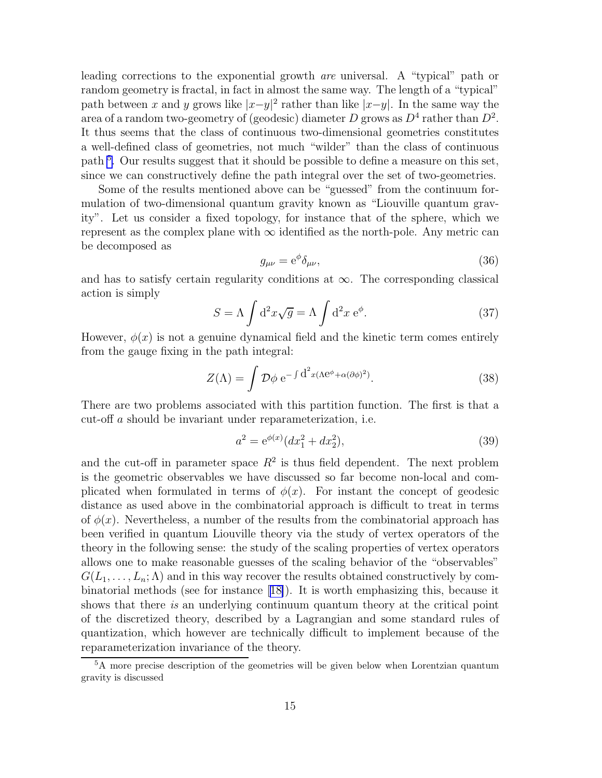leading corrections to the exponential growth are universal. A "typical" path or random geometry is fractal, in fact in almost the same way. The length of a "typical" path between x and y grows like  $|x-y|^2$  rather than like  $|x-y|$ . In the same way the area of a random two-geometry of (geodesic) diameter D grows as  $D^4$  rather than  $D^2$ . It thus seems that the class of continuous two-dimensional geometries constitutes a well-defined class of geometries, not much "wilder" than the class of continuous path<sup>5</sup>. Our results suggest that it should be possible to define a measure on this set, since we can constructively define the path integral over the set of two-geometries.

Some of the results mentioned above can be "guessed" from the continuum formulation of two-dimensional quantum gravity known as "Liouville quantum gravity". Let us consider a fixed topology, for instance that of the sphere, which we represent as the complex plane with  $\infty$  identified as the north-pole. Any metric can be decomposed as

$$
g_{\mu\nu} = e^{\phi} \delta_{\mu\nu},\tag{36}
$$

and has to satisfy certain regularity conditions at  $\infty$ . The corresponding classical action is simply

$$
S = \Lambda \int d^2x \sqrt{g} = \Lambda \int d^2x \; e^{\phi}.
$$
 (37)

However,  $\phi(x)$  is not a genuine dynamical field and the kinetic term comes entirely from the gauge fixing in the path integral:

$$
Z(\Lambda) = \int \mathcal{D}\phi \, \mathrm{e}^{-\int d^2 x (\Lambda \mathrm{e}^{\phi} + \alpha(\partial \phi)^2)}.
$$
 (38)

There are two problems associated with this partition function. The first is that a cut-off a should be invariant under reparameterization, i.e.

$$
a^2 = e^{\phi(x)}(dx_1^2 + dx_2^2),\tag{39}
$$

and the cut-off in parameter space  $R^2$  is thus field dependent. The next problem is the geometric observables we have discussed so far become non-local and complicated when formulated in terms of  $\phi(x)$ . For instant the concept of geodesic distance as used above in the combinatorial approach is difficult to treat in terms of  $\phi(x)$ . Nevertheless, a number of the results from the combinatorial approach has been verified in quantum Liouville theory via the study of vertex operators of the theory in the following sense: the study of the scaling properties of vertex operators allows one to make reasonable guesses of the scaling behavior of the "observables"  $G(L_1, \ldots, L_n; \Lambda)$  and in this way recover the results obtained constructively by combinatorial methods (see for instance[[18\]](#page-20-0)). It is worth emphasizing this, because it shows that there is an underlying continuum quantum theory at the critical point of the discretized theory, described by a Lagrangian and some standard rules of quantization, which however are technically difficult to implement because of the reparameterization invariance of the theory.

<sup>5</sup>A more precise description of the geometries will be given below when Lorentzian quantum gravity is discussed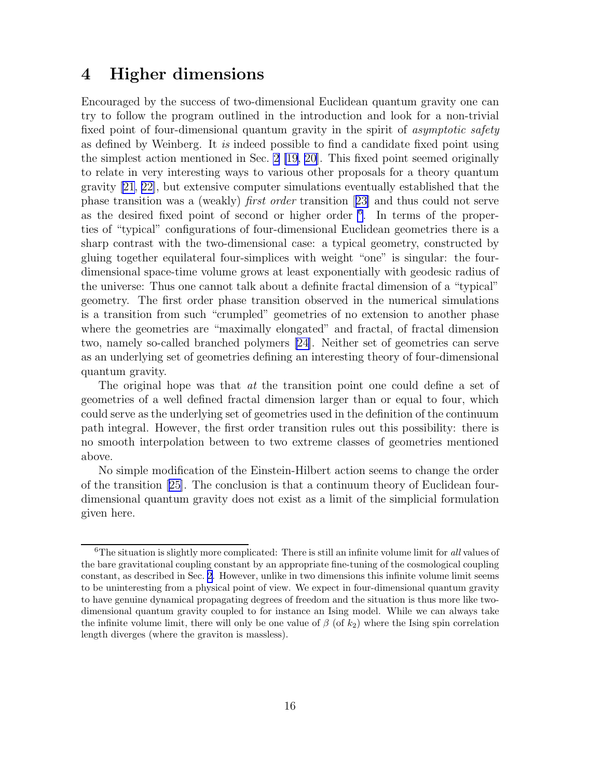### <span id="page-15-0"></span>4 Higher dimensions

Encouraged by the success of two-dimensional Euclidean quantum gravity one can try to follow the program outlined in the introduction and look for a non-trivial fixed point of four-dimensional quantum gravity in the spirit of *asymptotic safety* as defined by Weinberg. It is indeed possible to find a candidate fixed point using the simplest action mentioned in Sec. [2](#page-2-0) [\[19](#page-20-0), [20\]](#page-20-0). This fixed point seemed originally to relate in very interesting ways to various other proposals for a theory quantum gravity [\[21,](#page-20-0) [22\]](#page-21-0), but extensive computer simulations eventually established that the phase transition was a (weakly) first order transition[[23\]](#page-21-0) and thus could not serve as the desired fixed point of second or higher order <sup>6</sup> . In terms of the properties of "typical" configurations of four-dimensional Euclidean geometries there is a sharp contrast with the two-dimensional case: a typical geometry, constructed by gluing together equilateral four-simplices with weight "one" is singular: the fourdimensional space-time volume grows at least exponentially with geodesic radius of the universe: Thus one cannot talk about a definite fractal dimension of a "typical" geometry. The first order phase transition observed in the numerical simulations is a transition from such "crumpled" geometries of no extension to another phase where the geometries are "maximally elongated" and fractal, of fractal dimension two, namely so-called branched polymers [\[24\]](#page-21-0). Neither set of geometries can serve as an underlying set of geometries defining an interesting theory of four-dimensional quantum gravity.

The original hope was that *at* the transition point one could define a set of geometries of a well defined fractal dimension larger than or equal to four, which could serve as the underlying set of geometries used in the definition of the continuum path integral. However, the first order transition rules out this possibility: there is no smooth interpolation between to two extreme classes of geometries mentioned above.

No simple modification of the Einstein-Hilbert action seems to change the order of the transition [\[25\]](#page-21-0). The conclusion is that a continuum theory of Euclidean fourdimensional quantum gravity does not exist as a limit of the simplicial formulation given here.

<sup>6</sup>The situation is slightly more complicated: There is still an infinite volume limit for *all* values of the bare gravitational coupling constant by an appropriate fine-tuning of the cosmological coupling constant, as described in Sec. [2.](#page-2-0) However, unlike in two dimensions this infinite volume limit seems to be uninteresting from a physical point of view. We expect in four-dimensional quantum gravity to have genuine dynamical propagating degrees of freedom and the situation is thus more like twodimensional quantum gravity coupled to for instance an Ising model. While we can always take the infinite volume limit, there will only be one value of  $\beta$  (of  $k_2$ ) where the Ising spin correlation length diverges (where the graviton is massless).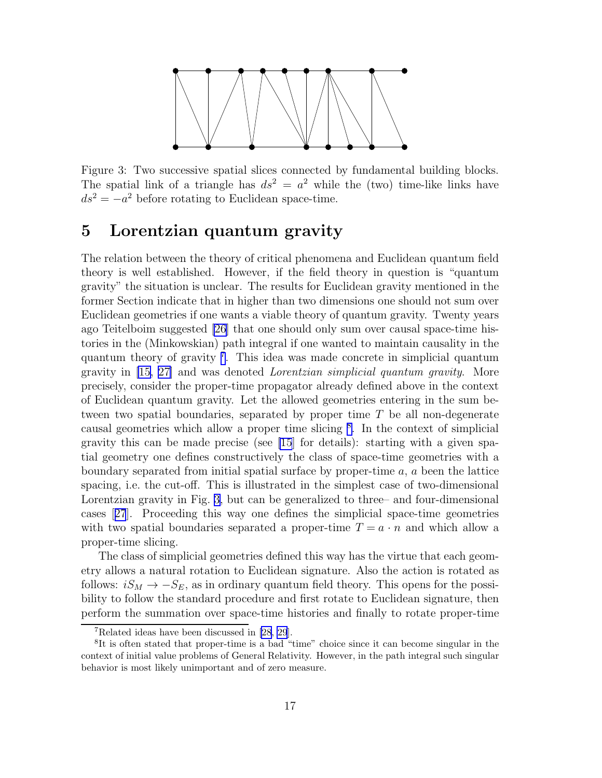<span id="page-16-0"></span>

Figure 3: Two successive spatial slices connected by fundamental building blocks. The spatial link of a triangle has  $ds^2 = a^2$  while the (two) time-like links have  $ds^2 = -a^2$  before rotating to Euclidean space-time.

# 5 Lorentzian quantum gravity

The relation between the theory of critical phenomena and Euclidean quantum field theory is well established. However, if the field theory in question is "quantum gravity" the situation is unclear. The results for Euclidean gravity mentioned in the former Section indicate that in higher than two dimensions one should not sum over Euclidean geometries if one wants a viable theory of quantum gravity. Twenty years ago Teitelboim suggested [\[26](#page-21-0)] that one should only sum over causal space-time histories in the (Minkowskian) path integral if one wanted to maintain causality in the quantum theory of gravity <sup>7</sup> . This idea was made concrete in simplicial quantum gravity in [\[15,](#page-20-0) [27\]](#page-21-0) and was denoted Lorentzian simplicial quantum gravity. More precisely, consider the proper-time propagator already defined above in the context of Euclidean quantum gravity. Let the allowed geometries entering in the sum between two spatial boundaries, separated by proper time  $T$  be all non-degenerate causal geometries which allow a proper time slicing <sup>8</sup> . In the context of simplicial gravity this can be made precise (see [\[15](#page-20-0)] for details): starting with a given spatial geometry one defines constructively the class of space-time geometries with a boundary separated from initial spatial surface by proper-time  $a, a$  been the lattice spacing, i.e. the cut-off. This is illustrated in the simplest case of two-dimensional Lorentzian gravity in Fig. 3, but can be generalized to three– and four-dimensional cases[[27](#page-21-0)]. Proceeding this way one defines the simplicial space-time geometries with two spatial boundaries separated a proper-time  $T = a \cdot n$  and which allow a proper-time slicing.

The class of simplicial geometries defined this way has the virtue that each geometry allows a natural rotation to Euclidean signature. Also the action is rotated as follows:  $iS_M \rightarrow -S_E$ , as in ordinary quantum field theory. This opens for the possibility to follow the standard procedure and first rotate to Euclidean signature, then perform the summation over space-time histories and finally to rotate proper-time

<sup>7</sup>Related ideas have been discussed in [\[28](#page-21-0), [29](#page-21-0)].

<sup>&</sup>lt;sup>8</sup>It is often stated that proper-time is a bad "time" choice since it can become singular in the context of initial value problems of General Relativity. However, in the path integral such singular behavior is most likely unimportant and of zero measure.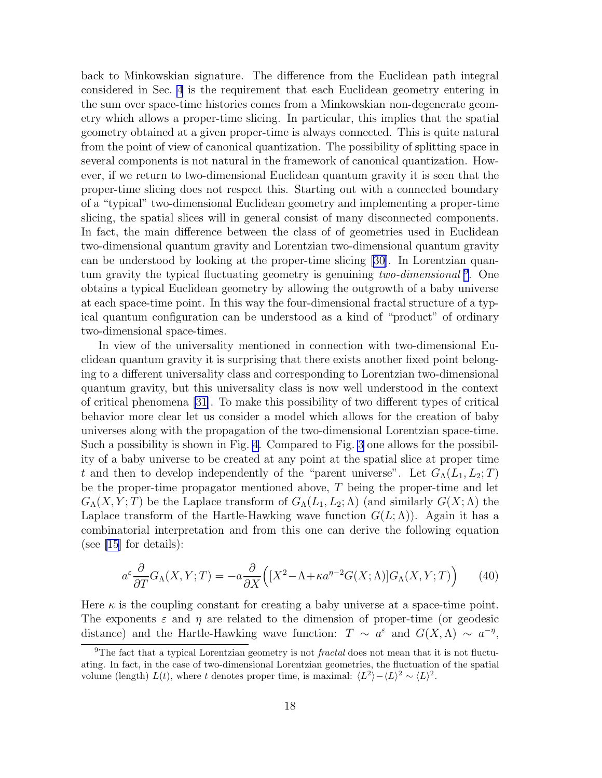back to Minkowskian signature. The difference from the Euclidean path integral considered in Sec. [4](#page-15-0) is the requirement that each Euclidean geometry entering in the sum over space-time histories comes from a Minkowskian non-degenerate geometry which allows a proper-time slicing. In particular, this implies that the spatial geometry obtained at a given proper-time is always connected. This is quite natural from the point of view of canonical quantization. The possibility of splitting space in several components is not natural in the framework of canonical quantization. However, if we return to two-dimensional Euclidean quantum gravity it is seen that the proper-time slicing does not respect this. Starting out with a connected boundary of a "typical" two-dimensional Euclidean geometry and implementing a proper-time slicing, the spatial slices will in general consist of many disconnected components. In fact, the main difference between the class of of geometries used in Euclidean two-dimensional quantum gravity and Lorentzian two-dimensional quantum gravity can be understood by looking at the proper-time slicing [\[30\]](#page-21-0). In Lorentzian quantum gravity the typical fluctuating geometry is genuining two-dimensional<sup>9</sup>. One obtains a typical Euclidean geometry by allowing the outgrowth of a baby universe at each space-time point. In this way the four-dimensional fractal structure of a typical quantum configuration can be understood as a kind of "product" of ordinary two-dimensional space-times.

In view of the universality mentioned in connection with two-dimensional Euclidean quantum gravity it is surprising that there exists another fixed point belonging to a different universality class and corresponding to Lorentzian two-dimensional quantum gravity, but this universality class is now well understood in the context of critical phenomena [\[31\]](#page-21-0). To make this possibility of two different types of critical behavior more clear let us consider a model which allows for the creation of baby universes along with the propagation of the two-dimensional Lorentzian space-time. Such a possibility is shown in Fig. [4](#page-18-0). Compared to Fig. [3](#page-16-0) one allows for the possibility of a baby universe to be created at any point at the spatial slice at proper time t and then to develop independently of the "parent universe". Let  $G_{\Lambda}(L_1, L_2; T)$ be the proper-time propagator mentioned above, T being the proper-time and let  $G_{\Lambda}(X, Y; T)$  be the Laplace transform of  $G_{\Lambda}(L_1, L_2; \Lambda)$  (and similarly  $G(X; \Lambda)$ ) the Laplace transform of the Hartle-Hawking wave function  $G(L; \Lambda)$ ). Again it has a combinatorial interpretation and from this one can derive the following equation (see [\[15\]](#page-20-0) for details):

$$
a^{\varepsilon} \frac{\partial}{\partial T} G_{\Lambda}(X, Y; T) = -a \frac{\partial}{\partial X} \Big( [X^2 - \Lambda + \kappa a^{\eta - 2} G(X; \Lambda)] G_{\Lambda}(X, Y; T) \Big) \tag{40}
$$

Here  $\kappa$  is the coupling constant for creating a baby universe at a space-time point. The exponents  $\varepsilon$  and  $\eta$  are related to the dimension of proper-time (or geodesic distance) and the Hartle-Hawking wave function:  $T \sim a^{\varepsilon}$  and  $G(X, \Lambda) \sim a^{-\eta}$ ,

<sup>9</sup>The fact that a typical Lorentzian geometry is not *fractal* does not mean that it is not fluctuating. In fact, in the case of two-dimensional Lorentzian geometries, the fluctuation of the spatial volume (length)  $L(t)$ , where t denotes proper time, is maximal:  $\langle L^2 \rangle - \langle L \rangle^2 \sim \langle L \rangle^2$ .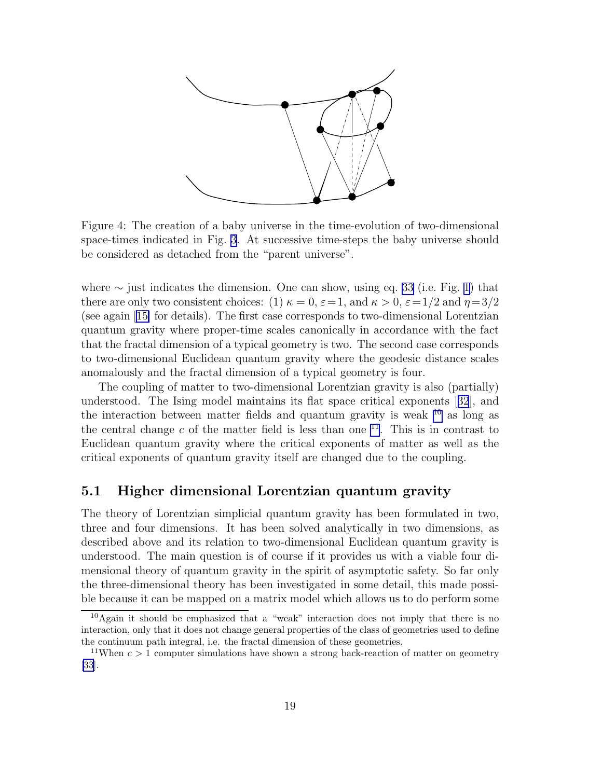<span id="page-18-0"></span>

Figure 4: The creation of a baby universe in the time-evolution of two-dimensional space-times indicated in Fig. [3.](#page-16-0) At successive time-steps the baby universe should be considered as detached from the "parent universe".

where  $\sim$  just indicates the dimension. One can show, using eq. [33](#page-11-0) (i.e. Fig. [1\)](#page-12-0) that there are only two consistent choices: (1)  $\kappa = 0$ ,  $\varepsilon = 1$ , and  $\kappa > 0$ ,  $\varepsilon = 1/2$  and  $\eta = 3/2$ (see again[[15\]](#page-20-0) for details). The first case corresponds to two-dimensional Lorentzian quantum gravity where proper-time scales canonically in accordance with the fact that the fractal dimension of a typical geometry is two. The second case corresponds to two-dimensional Euclidean quantum gravity where the geodesic distance scales anomalously and the fractal dimension of a typical geometry is four.

The coupling of matter to two-dimensional Lorentzian gravity is also (partially) understood. The Ising model maintains its flat space critical exponents[[32](#page-21-0)], and the interaction between matter fields and quantum gravity is weak  $10$  as long as the central change c of the matter field is less than one  $11$ . This is in contrast to Euclidean quantum gravity where the critical exponents of matter as well as the critical exponents of quantum gravity itself are changed due to the coupling.

### 5.1 Higher dimensional Lorentzian quantum gravity

The theory of Lorentzian simplicial quantum gravity has been formulated in two, three and four dimensions. It has been solved analytically in two dimensions, as described above and its relation to two-dimensional Euclidean quantum gravity is understood. The main question is of course if it provides us with a viable four dimensional theory of quantum gravity in the spirit of asymptotic safety. So far only the three-dimensional theory has been investigated in some detail, this made possible because it can be mapped on a matrix model which allows us to do perform some

 $10$ Again it should be emphasized that a "weak" interaction does not imply that there is no interaction, only that it does not change general properties of the class of geometries used to define the continuum path integral, i.e. the fractal dimension of these geometries.

<sup>&</sup>lt;sup>11</sup>When  $c > 1$  computer simulations have shown a strong back-reaction of matter on geometry [\[33](#page-22-0)].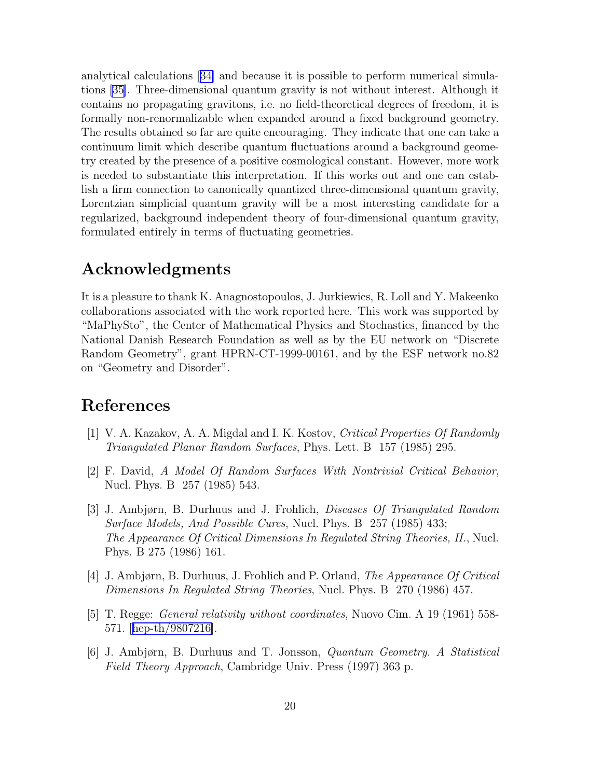<span id="page-19-0"></span>analytical calculations[[34\]](#page-22-0) and because it is possible to perform numerical simulations [\[35](#page-22-0)]. Three-dimensional quantum gravity is not without interest. Although it contains no propagating gravitons, i.e. no field-theoretical degrees of freedom, it is formally non-renormalizable when expanded around a fixed background geometry. The results obtained so far are quite encouraging. They indicate that one can take a continuum limit which describe quantum fluctuations around a background geometry created by the presence of a positive cosmological constant. However, more work is needed to substantiate this interpretation. If this works out and one can establish a firm connection to canonically quantized three-dimensional quantum gravity, Lorentzian simplicial quantum gravity will be a most interesting candidate for a regularized, background independent theory of four-dimensional quantum gravity, formulated entirely in terms of fluctuating geometries.

## Acknowledgments

It is a pleasure to thank K. Anagnostopoulos, J. Jurkiewics, R. Loll and Y. Makeenko collaborations associated with the work reported here. This work was supported by "MaPhySto", the Center of Mathematical Physics and Stochastics, financed by the National Danish Research Foundation as well as by the EU network on "Discrete Random Geometry", grant HPRN-CT-1999-00161, and by the ESF network no.82 on "Geometry and Disorder".

# References

- [1] V. A. Kazakov, A. A. Migdal and I. K. Kostov, Critical Properties Of Randomly Triangulated Planar Random Surfaces, Phys. Lett. B 157 (1985) 295.
- [2] F. David, A Model Of Random Surfaces With Nontrivial Critical Behavior, Nucl. Phys. B 257 (1985) 543.
- [3] J. Ambjørn, B. Durhuus and J. Frohlich, Diseases Of Triangulated Random Surface Models, And Possible Cures, Nucl. Phys. B 257 (1985) 433; The Appearance Of Critical Dimensions In Regulated String Theories, II., Nucl. Phys. B 275 (1986) 161.
- [4] J. Ambjørn, B. Durhuus, J. Frohlich and P. Orland, The Appearance Of Critical Dimensions In Regulated String Theories, Nucl. Phys. B 270 (1986) 457.
- [5] T. Regge: General relativity without coordinates, Nuovo Cim. A 19 (1961) 558- 571.[[hep-th/9807216\]](http://arxiv.org/abs/hep-th/9807216).
- [6] J. Ambjørn, B. Durhuus and T. Jonsson, Quantum Geometry. A Statistical Field Theory Approach, Cambridge Univ. Press (1997) 363 p.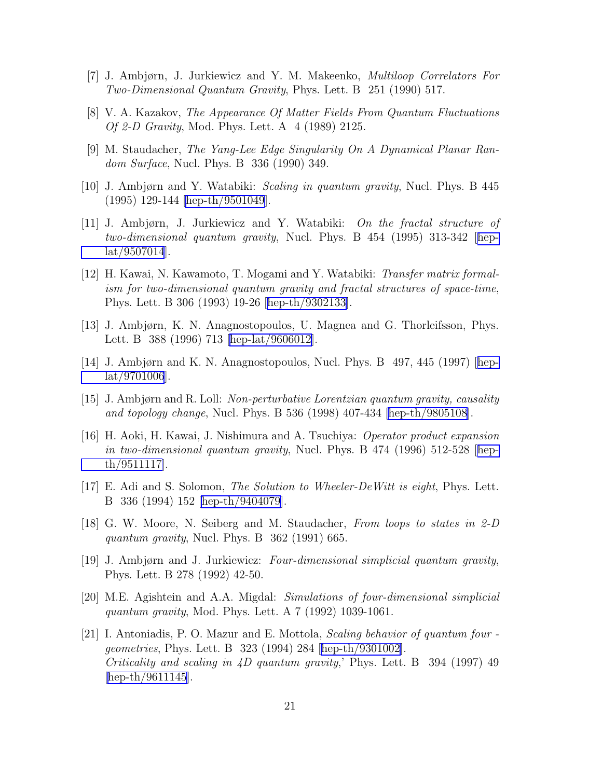- <span id="page-20-0"></span>[7] J. Ambjørn, J. Jurkiewicz and Y. M. Makeenko, Multiloop Correlators For Two-Dimensional Quantum Gravity, Phys. Lett. B 251 (1990) 517.
- [8] V. A. Kazakov, The Appearance Of Matter Fields From Quantum Fluctuations Of 2-D Gravity, Mod. Phys. Lett. A 4 (1989) 2125.
- [9] M. Staudacher, The Yang-Lee Edge Singularity On A Dynamical Planar Random Surface, Nucl. Phys. B 336 (1990) 349.
- [10] J. Ambjørn and Y. Watabiki: Scaling in quantum gravity, Nucl. Phys. B 445 (1995) 129-144 [\[hep-th/9501049](http://arxiv.org/abs/hep-th/9501049)].
- [11] J. Ambjørn, J. Jurkiewicz and Y. Watabiki: On the fractal structure of two-dimensional quantum gravity, Nucl. Phys. B 454 (1995) 313-342[[hep](http://arxiv.org/abs/hep-lat/9507014)[lat/9507014](http://arxiv.org/abs/hep-lat/9507014)].
- [12] H. Kawai, N. Kawamoto, T. Mogami and Y. Watabiki: Transfer matrix formalism for two-dimensional quantum gravity and fractal structures of space-time, Phys. Lett. B 306 (1993) 19-26[[hep-th/9302133](http://arxiv.org/abs/hep-th/9302133)].
- [13] J. Ambjørn, K. N. Anagnostopoulos, U. Magnea and G. Thorleifsson, Phys. Lett. B 388 (1996) 713 [\[hep-lat/9606012\]](http://arxiv.org/abs/hep-lat/9606012).
- [14] J. Ambjørn and K. N. Anagnostopoulos, Nucl. Phys. B 497, 445 (1997)[[hep](http://arxiv.org/abs/hep-lat/9701006)[lat/9701006](http://arxiv.org/abs/hep-lat/9701006)].
- [15] J. Ambjørn and R. Loll: Non-perturbative Lorentzian quantum gravity, causality and topology change, Nucl. Phys. B 536 (1998) 407-434 [\[hep-th/9805108](http://arxiv.org/abs/hep-th/9805108)].
- [16] H. Aoki, H. Kawai, J. Nishimura and A. Tsuchiya: Operator product expansion in two-dimensional quantum gravity, Nucl. Phys. B 474 (1996) 512-528[[hep](http://arxiv.org/abs/hep-th/9511117)[th/9511117\]](http://arxiv.org/abs/hep-th/9511117).
- [17] E. Adi and S. Solomon, The Solution to Wheeler-DeWitt is eight, Phys. Lett. B 336 (1994) 152 [\[hep-th/9404079](http://arxiv.org/abs/hep-th/9404079)].
- [18] G. W. Moore, N. Seiberg and M. Staudacher, From loops to states in 2-D quantum gravity, Nucl. Phys. B 362 (1991) 665.
- [19] J. Ambjørn and J. Jurkiewicz: Four-dimensional simplicial quantum gravity, Phys. Lett. B 278 (1992) 42-50.
- [20] M.E. Agishtein and A.A. Migdal: Simulations of four-dimensional simplicial quantum gravity, Mod. Phys. Lett. A 7 (1992) 1039-1061.
- [21] I. Antoniadis, P. O. Mazur and E. Mottola, Scaling behavior of quantum four geometries, Phys. Lett. B 323 (1994) 284[[hep-th/9301002](http://arxiv.org/abs/hep-th/9301002)]. Criticality and scaling in 4D quantum gravity,' Phys. Lett. B 394 (1997) 49 [[hep-th/9611145\]](http://arxiv.org/abs/hep-th/9611145).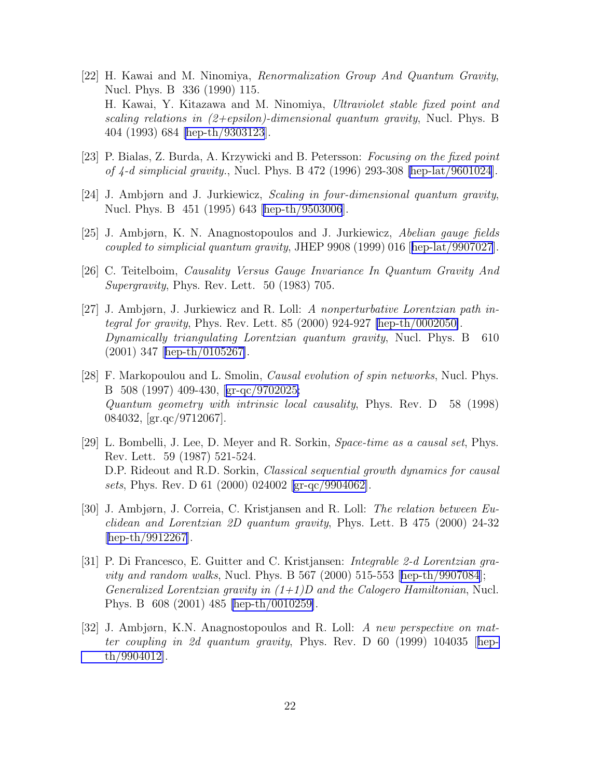- <span id="page-21-0"></span>[22] H. Kawai and M. Ninomiya, Renormalization Group And Quantum Gravity, Nucl. Phys. B 336 (1990) 115. H. Kawai, Y. Kitazawa and M. Ninomiya, Ultraviolet stable fixed point and scaling relations in  $(2+epsilon)$ -dimensional quantum gravity, Nucl. Phys. B 404 (1993) 684 [\[hep-th/9303123](http://arxiv.org/abs/hep-th/9303123)].
- [23] P. Bialas, Z. Burda, A. Krzywicki and B. Petersson: Focusing on the fixed point of 4-d simplicial gravity., Nucl. Phys. B 472 (1996) 293-308 [\[hep-lat/9601024](http://arxiv.org/abs/hep-lat/9601024)].
- [24] J. Ambjørn and J. Jurkiewicz, Scaling in four-dimensional quantum gravity, Nucl. Phys. B 451 (1995) 643 [\[hep-th/9503006](http://arxiv.org/abs/hep-th/9503006)].
- [25] J. Ambjørn, K. N. Anagnostopoulos and J. Jurkiewicz, Abelian gauge fields coupled to simplicial quantum gravity, JHEP 9908 (1999) 016[[hep-lat/9907027](http://arxiv.org/abs/hep-lat/9907027)].
- [26] C. Teitelboim, Causality Versus Gauge Invariance In Quantum Gravity And Supergravity, Phys. Rev. Lett. 50 (1983) 705.
- [27] J. Ambjørn, J. Jurkiewicz and R. Loll: A nonperturbative Lorentzian path integral for gravity, Phys. Rev. Lett. 85 (2000) 924-927 [\[hep-th/0002050\]](http://arxiv.org/abs/hep-th/0002050). Dynamically triangulating Lorentzian quantum gravity, Nucl. Phys. B 610 (2001) 347[[hep-th/0105267\]](http://arxiv.org/abs/hep-th/0105267).
- [28] F. Markopoulou and L. Smolin, Causal evolution of spin networks, Nucl. Phys. B 508 (1997) 409-430,[[gr-qc/9702025;](http://arxiv.org/abs/gr-qc/9702025) Quantum geometry with intrinsic local causality, Phys. Rev. D 58 (1998) 084032, [gr.qc/9712067].
- [29] L. Bombelli, J. Lee, D. Meyer and R. Sorkin, Space-time as a causal set, Phys. Rev. Lett. 59 (1987) 521-524. D.P. Rideout and R.D. Sorkin, Classical sequential growth dynamics for causal sets, Phys. Rev. D 61 (2000) 024002[[gr-qc/9904062\]](http://arxiv.org/abs/gr-qc/9904062).
- [30] J. Ambjørn, J. Correia, C. Kristjansen and R. Loll: The relation between Euclidean and Lorentzian 2D quantum gravity, Phys. Lett. B 475 (2000) 24-32 [[hep-th/9912267\]](http://arxiv.org/abs/hep-th/9912267).
- [31] P. Di Francesco, E. Guitter and C. Kristjansen: Integrable 2-d Lorentzian gra*vityand random walks*, Nucl. Phys. B  $567 (2000) 515-553$  [[hep-th/9907084](http://arxiv.org/abs/hep-th/9907084)]; Generalized Lorentzian gravity in  $(1+1)D$  and the Calogero Hamiltonian, Nucl. Phys. B 608 (2001) 485 [\[hep-th/0010259\]](http://arxiv.org/abs/hep-th/0010259).
- [32] J. Ambjørn, K.N. Anagnostopoulos and R. Loll: A new perspective on matter coupling in 2d quantum gravity, Phys. Rev. D 60 (1999) 104035[[hep](http://arxiv.org/abs/hep-th/9904012)[th/9904012\]](http://arxiv.org/abs/hep-th/9904012).